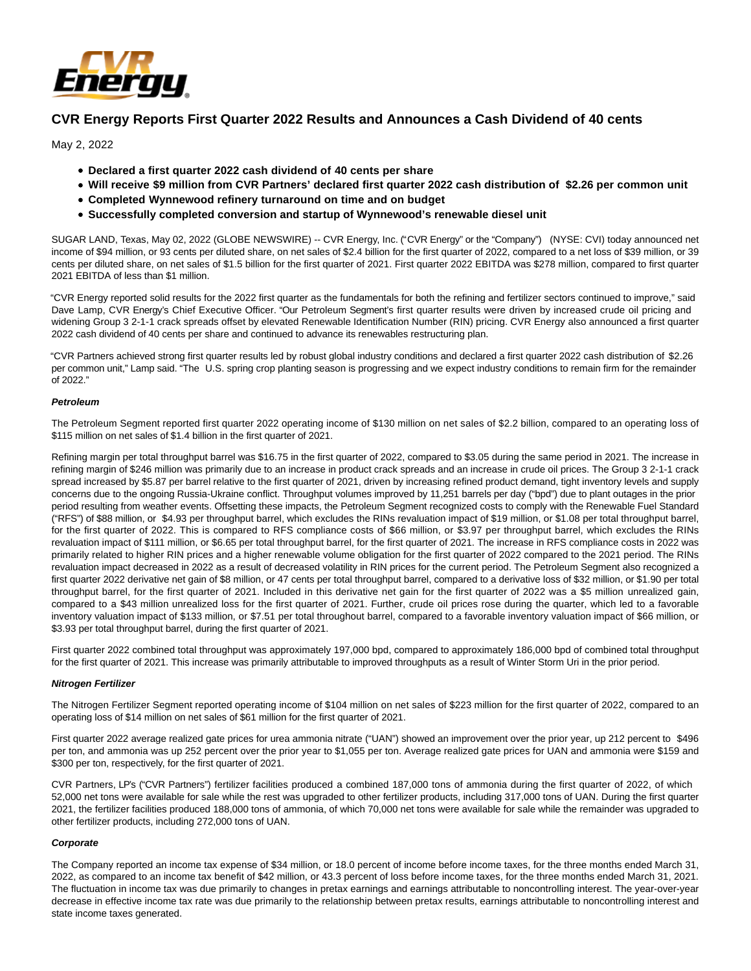

# **CVR Energy Reports First Quarter 2022 Results and Announces a Cash Dividend of 40 cents**

May 2, 2022

- **Declared a first quarter 2022 cash dividend of 40 cents per share**
- **Will receive \$9 million from CVR Partners' declared first quarter 2022 cash distribution of \$2.26 per common unit**
- **Completed Wynnewood refinery turnaround on time and on budget**
- **Successfully completed conversion and startup of Wynnewood's renewable diesel unit**

SUGAR LAND, Texas, May 02, 2022 (GLOBE NEWSWIRE) -- CVR Energy, Inc. ("CVR Energy" or the "Company") (NYSE: CVI) today announced net income of \$94 million, or 93 cents per diluted share, on net sales of \$2.4 billion for the first quarter of 2022, compared to a net loss of \$39 million, or 39 cents per diluted share, on net sales of \$1.5 billion for the first quarter of 2021. First quarter 2022 EBITDA was \$278 million, compared to first quarter 2021 EBITDA of less than \$1 million.

"CVR Energy reported solid results for the 2022 first quarter as the fundamentals for both the refining and fertilizer sectors continued to improve," said Dave Lamp, CVR Energy's Chief Executive Officer. "Our Petroleum Segment's first quarter results were driven by increased crude oil pricing and widening Group 3 2-1-1 crack spreads offset by elevated Renewable Identification Number (RIN) pricing. CVR Energy also announced a first quarter 2022 cash dividend of 40 cents per share and continued to advance its renewables restructuring plan.

"CVR Partners achieved strong first quarter results led by robust global industry conditions and declared a first quarter 2022 cash distribution of \$2.26 per common unit," Lamp said. "The U.S. spring crop planting season is progressing and we expect industry conditions to remain firm for the remainder of 2022."

### **Petroleum**

The Petroleum Segment reported first quarter 2022 operating income of \$130 million on net sales of \$2.2 billion, compared to an operating loss of \$115 million on net sales of \$1.4 billion in the first quarter of 2021.

Refining margin per total throughput barrel was \$16.75 in the first quarter of 2022, compared to \$3.05 during the same period in 2021. The increase in refining margin of \$246 million was primarily due to an increase in product crack spreads and an increase in crude oil prices. The Group 3 2-1-1 crack spread increased by \$5.87 per barrel relative to the first quarter of 2021, driven by increasing refined product demand, tight inventory levels and supply concerns due to the ongoing Russia-Ukraine conflict. Throughput volumes improved by 11,251 barrels per day ("bpd") due to plant outages in the prior period resulting from weather events. Offsetting these impacts, the Petroleum Segment recognized costs to comply with the Renewable Fuel Standard ("RFS") of \$88 million, or \$4.93 per throughput barrel, which excludes the RINs revaluation impact of \$19 million, or \$1.08 per total throughput barrel, for the first quarter of 2022. This is compared to RFS compliance costs of \$66 million, or \$3.97 per throughput barrel, which excludes the RINs revaluation impact of \$111 million, or \$6.65 per total throughput barrel, for the first quarter of 2021. The increase in RFS compliance costs in 2022 was primarily related to higher RIN prices and a higher renewable volume obligation for the first quarter of 2022 compared to the 2021 period. The RINs revaluation impact decreased in 2022 as a result of decreased volatility in RIN prices for the current period. The Petroleum Segment also recognized a first quarter 2022 derivative net gain of \$8 million, or 47 cents per total throughput barrel, compared to a derivative loss of \$32 million, or \$1.90 per total throughput barrel, for the first quarter of 2021. Included in this derivative net gain for the first quarter of 2022 was a \$5 million unrealized gain, compared to a \$43 million unrealized loss for the first quarter of 2021. Further, crude oil prices rose during the quarter, which led to a favorable inventory valuation impact of \$133 million, or \$7.51 per total throughout barrel, compared to a favorable inventory valuation impact of \$66 million, or \$3.93 per total throughput barrel, during the first quarter of 2021.

First quarter 2022 combined total throughput was approximately 197,000 bpd, compared to approximately 186,000 bpd of combined total throughput for the first quarter of 2021. This increase was primarily attributable to improved throughputs as a result of Winter Storm Uri in the prior period.

#### **Nitrogen Fertilizer**

The Nitrogen Fertilizer Segment reported operating income of \$104 million on net sales of \$223 million for the first quarter of 2022, compared to an operating loss of \$14 million on net sales of \$61 million for the first quarter of 2021.

First quarter 2022 average realized gate prices for urea ammonia nitrate ("UAN") showed an improvement over the prior year, up 212 percent to \$496 per ton, and ammonia was up 252 percent over the prior year to \$1,055 per ton. Average realized gate prices for UAN and ammonia were \$159 and \$300 per ton, respectively, for the first quarter of 2021.

CVR Partners, LP's ("CVR Partners") fertilizer facilities produced a combined 187,000 tons of ammonia during the first quarter of 2022, of which 52,000 net tons were available for sale while the rest was upgraded to other fertilizer products, including 317,000 tons of UAN. During the first quarter 2021, the fertilizer facilities produced 188,000 tons of ammonia, of which 70,000 net tons were available for sale while the remainder was upgraded to other fertilizer products, including 272,000 tons of UAN.

### **Corporate**

The Company reported an income tax expense of \$34 million, or 18.0 percent of income before income taxes, for the three months ended March 31, 2022, as compared to an income tax benefit of \$42 million, or 43.3 percent of loss before income taxes, for the three months ended March 31, 2021. The fluctuation in income tax was due primarily to changes in pretax earnings and earnings attributable to noncontrolling interest. The year-over-year decrease in effective income tax rate was due primarily to the relationship between pretax results, earnings attributable to noncontrolling interest and state income taxes generated.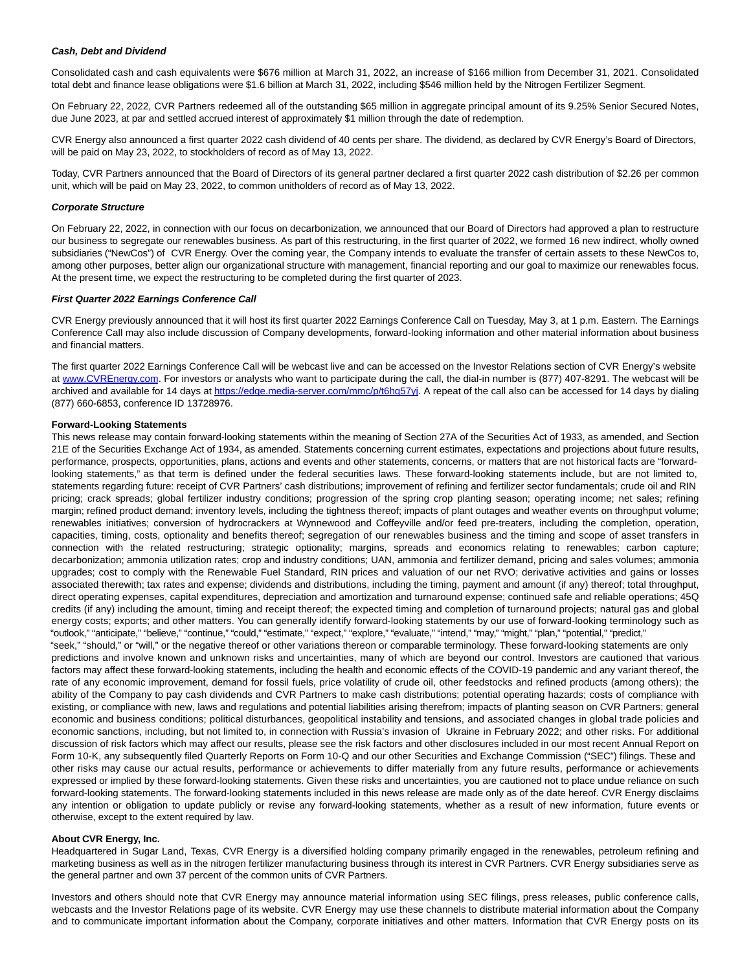#### **Cash, Debt and Dividend**

Consolidated cash and cash equivalents were \$676 million at March 31, 2022, an increase of \$166 million from December 31, 2021. Consolidated total debt and finance lease obligations were \$1.6 billion at March 31, 2022, including \$546 million held by the Nitrogen Fertilizer Segment.

On February 22, 2022, CVR Partners redeemed all of the outstanding \$65 million in aggregate principal amount of its 9.25% Senior Secured Notes, due June 2023, at par and settled accrued interest of approximately \$1 million through the date of redemption.

CVR Energy also announced a first quarter 2022 cash dividend of 40 cents per share. The dividend, as declared by CVR Energy's Board of Directors, will be paid on May 23, 2022, to stockholders of record as of May 13, 2022.

Today, CVR Partners announced that the Board of Directors of its general partner declared a first quarter 2022 cash distribution of \$2.26 per common unit, which will be paid on May 23, 2022, to common unitholders of record as of May 13, 2022.

#### **Corporate Structure**

On February 22, 2022, in connection with our focus on decarbonization, we announced that our Board of Directors had approved a plan to restructure our business to segregate our renewables business. As part of this restructuring, in the first quarter of 2022, we formed 16 new indirect, wholly owned subsidiaries ("NewCos") of CVR Energy. Over the coming year, the Company intends to evaluate the transfer of certain assets to these NewCos to, among other purposes, better align our organizational structure with management, financial reporting and our goal to maximize our renewables focus. At the present time, we expect the restructuring to be completed during the first quarter of 2023.

#### **First Quarter 2022 Earnings Conference Call**

CVR Energy previously announced that it will host its first quarter 2022 Earnings Conference Call on Tuesday, May 3, at 1 p.m. Eastern. The Earnings Conference Call may also include discussion of Company developments, forward-looking information and other material information about business and financial matters.

The first quarter 2022 Earnings Conference Call will be webcast live and can be accessed on the Investor Relations section of CVR Energy's website at [www.CVREnergy.com.](https://www.globenewswire.com/Tracker?data=tgEiMD4lLaTKPQif5K7TRq9hIanPQZrZQOtC55_p2lJQ2fz7AS_mXYloHrmhFTfcEQ_Eiw55337EWBem6vr1WQ==) For investors or analysts who want to participate during the call, the dial-in number is (877) 407-8291. The webcast will be archived and available for 14 days at [https://edge.media-server.com/mmc/p/t6hq57yj.](https://www.globenewswire.com/Tracker?data=FkkRTV6ACszj0PHyxPl_YrFONKPFgCFaLcE1ssTJZHHSh82uliSXILdl-OPpkkG2fGCyYkyR8qp1pYkVuCSkghqOaAelbE9xqiXuUEnVU_2hVYWi6vFteqnfexPwvk3q6guBgOpYdsU41bvx_s5R-g==) A repeat of the call also can be accessed for 14 days by dialing (877) 660-6853, conference ID 13728976.

### **Forward-Looking Statements**

This news release may contain forward-looking statements within the meaning of Section 27A of the Securities Act of 1933, as amended, and Section 21E of the Securities Exchange Act of 1934, as amended. Statements concerning current estimates, expectations and projections about future results, performance, prospects, opportunities, plans, actions and events and other statements, concerns, or matters that are not historical facts are "forwardlooking statements," as that term is defined under the federal securities laws. These forward-looking statements include, but are not limited to, statements regarding future: receipt of CVR Partners' cash distributions; improvement of refining and fertilizer sector fundamentals; crude oil and RIN pricing; crack spreads; global fertilizer industry conditions; progression of the spring crop planting season; operating income; net sales; refining margin; refined product demand; inventory levels, including the tightness thereof; impacts of plant outages and weather events on throughput volume; renewables initiatives; conversion of hydrocrackers at Wynnewood and Coffeyville and/or feed pre-treaters, including the completion, operation, capacities, timing, costs, optionality and benefits thereof; segregation of our renewables business and the timing and scope of asset transfers in connection with the related restructuring; strategic optionality; margins, spreads and economics relating to renewables; carbon capture; decarbonization; ammonia utilization rates; crop and industry conditions; UAN, ammonia and fertilizer demand, pricing and sales volumes; ammonia upgrades; cost to comply with the Renewable Fuel Standard, RIN prices and valuation of our net RVO; derivative activities and gains or losses associated therewith; tax rates and expense; dividends and distributions, including the timing, payment and amount (if any) thereof; total throughput, direct operating expenses, capital expenditures, depreciation and amortization and turnaround expense; continued safe and reliable operations; 45Q credits (if any) including the amount, timing and receipt thereof; the expected timing and completion of turnaround projects; natural gas and global energy costs; exports; and other matters. You can generally identify forward-looking statements by our use of forward-looking terminology such as "outlook," "anticipate," "believe," "continue," "could," "estimate," "expect," "explore," "evaluate," "intend," "may," "might," "plan," "potential," "predict,"

"seek," "should," or "will," or the negative thereof or other variations thereon or comparable terminology. These forward-looking statements are only predictions and involve known and unknown risks and uncertainties, many of which are beyond our control. Investors are cautioned that various factors may affect these forward-looking statements, including the health and economic effects of the COVID-19 pandemic and any variant thereof, the rate of any economic improvement, demand for fossil fuels, price volatility of crude oil, other feedstocks and refined products (among others); the ability of the Company to pay cash dividends and CVR Partners to make cash distributions; potential operating hazards; costs of compliance with existing, or compliance with new, laws and regulations and potential liabilities arising therefrom; impacts of planting season on CVR Partners; general economic and business conditions; political disturbances, geopolitical instability and tensions, and associated changes in global trade policies and economic sanctions, including, but not limited to, in connection with Russia's invasion of Ukraine in February 2022; and other risks. For additional discussion of risk factors which may affect our results, please see the risk factors and other disclosures included in our most recent Annual Report on Form 10-K, any subsequently filed Quarterly Reports on Form 10-Q and our other Securities and Exchange Commission ("SEC") filings. These and other risks may cause our actual results, performance or achievements to differ materially from any future results, performance or achievements expressed or implied by these forward-looking statements. Given these risks and uncertainties, you are cautioned not to place undue reliance on such forward-looking statements. The forward-looking statements included in this news release are made only as of the date hereof. CVR Energy disclaims any intention or obligation to update publicly or revise any forward-looking statements, whether as a result of new information, future events or otherwise, except to the extent required by law.

#### **About CVR Energy, Inc.**

Headquartered in Sugar Land, Texas, CVR Energy is a diversified holding company primarily engaged in the renewables, petroleum refining and marketing business as well as in the nitrogen fertilizer manufacturing business through its interest in CVR Partners. CVR Energy subsidiaries serve as the general partner and own 37 percent of the common units of CVR Partners.

Investors and others should note that CVR Energy may announce material information using SEC filings, press releases, public conference calls, webcasts and the Investor Relations page of its website. CVR Energy may use these channels to distribute material information about the Company and to communicate important information about the Company, corporate initiatives and other matters. Information that CVR Energy posts on its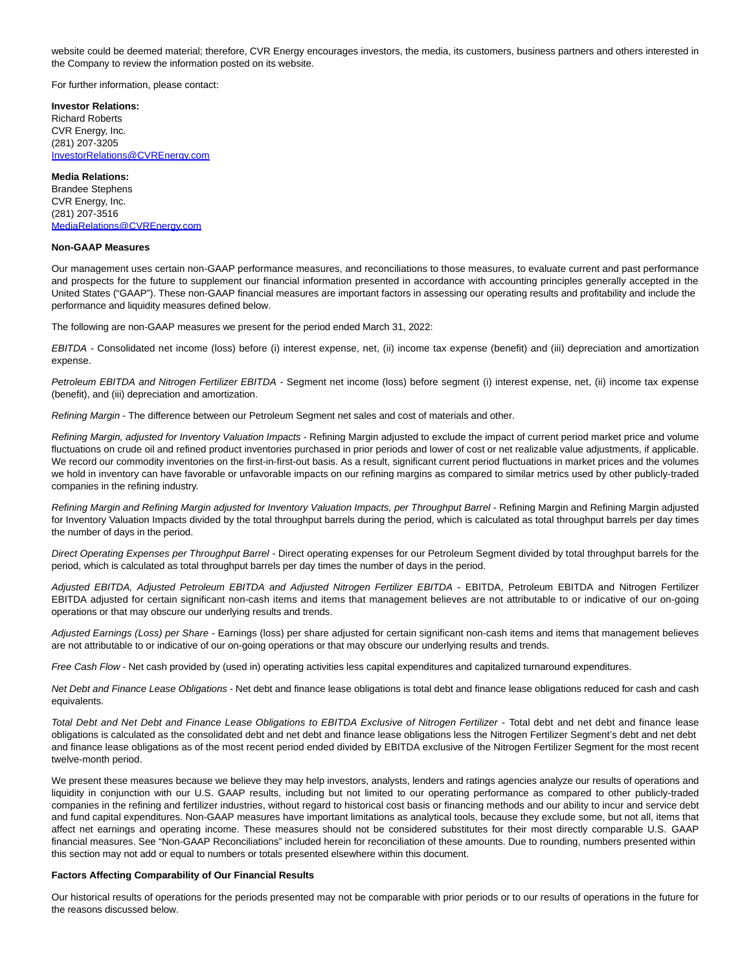website could be deemed material; therefore, CVR Energy encourages investors, the media, its customers, business partners and others interested in the Company to review the information posted on its website.

For further information, please contact:

**Investor Relations:** Richard Roberts CVR Energy, Inc. (281) 207-3205 [InvestorRelations@CVREnergy.com](https://www.globenewswire.com/Tracker?data=N8hwXrhjSoSvXQkYzbPToqk87EpZkd6zmrUtzWN3d0Jl8uoS7qOhir8YM56CAaBEd_4uayY26RXXVO1aHhVfkdY8w92EH0_LR5UmE_5ZlxHo4MbTrb4H8g8irDmztEbp)

#### **Media Relations:**

Brandee Stephens CVR Energy, Inc. (281) 207-3516 [MediaRelations@CVREnergy.com](https://www.globenewswire.com/Tracker?data=3shjwLG0s2NrifzOvLH6l09OGg-1R064E4ev-S4smDj29VnvYRGqMmmXc60MdintOvdlUHL6k2GzdEFmrbMRAbXZ5kImhpJQtr9p2sakLd4RKp96J5X1MBkio5OVzD0V)

#### **Non-GAAP Measures**

Our management uses certain non-GAAP performance measures, and reconciliations to those measures, to evaluate current and past performance and prospects for the future to supplement our financial information presented in accordance with accounting principles generally accepted in the United States ("GAAP"). These non-GAAP financial measures are important factors in assessing our operating results and profitability and include the performance and liquidity measures defined below.

The following are non-GAAP measures we present for the period ended March 31, 2022:

EBITDA - Consolidated net income (loss) before (i) interest expense, net, (ii) income tax expense (benefit) and (iii) depreciation and amortization expense.

Petroleum EBITDA and Nitrogen Fertilizer EBITDA - Segment net income (loss) before segment (i) interest expense, net, (ii) income tax expense (benefit), and (iii) depreciation and amortization.

Refining Margin - The difference between our Petroleum Segment net sales and cost of materials and other.

Refining Margin, adjusted for Inventory Valuation Impacts - Refining Margin adjusted to exclude the impact of current period market price and volume fluctuations on crude oil and refined product inventories purchased in prior periods and lower of cost or net realizable value adjustments, if applicable. We record our commodity inventories on the first-in-first-out basis. As a result, significant current period fluctuations in market prices and the volumes we hold in inventory can have favorable or unfavorable impacts on our refining margins as compared to similar metrics used by other publicly-traded companies in the refining industry.

Refining Margin and Refining Margin adjusted for Inventory Valuation Impacts, per Throughput Barrel - Refining Margin and Refining Margin adjusted for Inventory Valuation Impacts divided by the total throughput barrels during the period, which is calculated as total throughput barrels per day times the number of days in the period.

Direct Operating Expenses per Throughput Barrel - Direct operating expenses for our Petroleum Segment divided by total throughput barrels for the period, which is calculated as total throughput barrels per day times the number of days in the period.

Adjusted EBITDA, Adjusted Petroleum EBITDA and Adjusted Nitrogen Fertilizer EBITDA - EBITDA, Petroleum EBITDA and Nitrogen Fertilizer EBITDA adjusted for certain significant non-cash items and items that management believes are not attributable to or indicative of our on-going operations or that may obscure our underlying results and trends.

Adjusted Earnings (Loss) per Share - Earnings (loss) per share adjusted for certain significant non-cash items and items that management believes are not attributable to or indicative of our on-going operations or that may obscure our underlying results and trends.

Free Cash Flow - Net cash provided by (used in) operating activities less capital expenditures and capitalized turnaround expenditures.

Net Debt and Finance Lease Obligations - Net debt and finance lease obligations is total debt and finance lease obligations reduced for cash and cash equivalents.

Total Debt and Net Debt and Finance Lease Obligations to EBITDA Exclusive of Nitrogen Fertilizer - Total debt and net debt and finance lease obligations is calculated as the consolidated debt and net debt and finance lease obligations less the Nitrogen Fertilizer Segment's debt and net debt and finance lease obligations as of the most recent period ended divided by EBITDA exclusive of the Nitrogen Fertilizer Segment for the most recent twelve-month period.

We present these measures because we believe they may help investors, analysts, lenders and ratings agencies analyze our results of operations and liquidity in conjunction with our U.S. GAAP results, including but not limited to our operating performance as compared to other publicly-traded companies in the refining and fertilizer industries, without regard to historical cost basis or financing methods and our ability to incur and service debt and fund capital expenditures. Non-GAAP measures have important limitations as analytical tools, because they exclude some, but not all, items that affect net earnings and operating income. These measures should not be considered substitutes for their most directly comparable U.S. GAAP financial measures. See "Non-GAAP Reconciliations" included herein for reconciliation of these amounts. Due to rounding, numbers presented within this section may not add or equal to numbers or totals presented elsewhere within this document.

#### **Factors Affecting Comparability of Our Financial Results**

Our historical results of operations for the periods presented may not be comparable with prior periods or to our results of operations in the future for the reasons discussed below.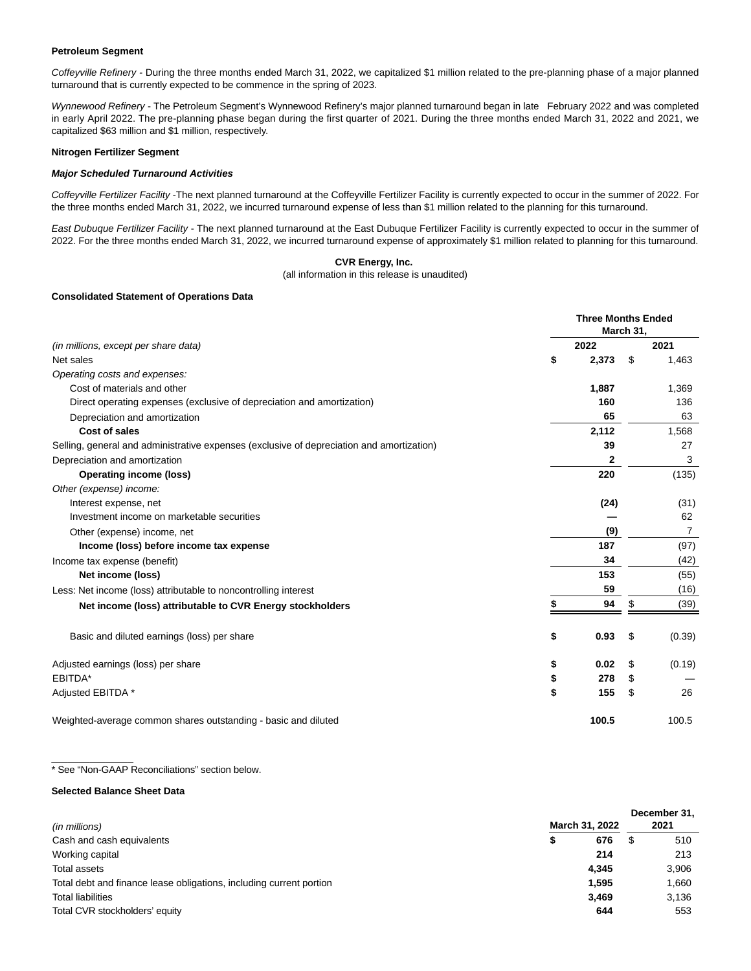#### **Petroleum Segment**

Coffeyville Refinery - During the three months ended March 31, 2022, we capitalized \$1 million related to the pre-planning phase of a major planned turnaround that is currently expected to be commence in the spring of 2023.

Wynnewood Refinery - The Petroleum Segment's Wynnewood Refinery's major planned turnaround began in late February 2022 and was completed in early April 2022. The pre-planning phase began during the first quarter of 2021. During the three months ended March 31, 2022 and 2021, we capitalized \$63 million and \$1 million, respectively.

#### **Nitrogen Fertilizer Segment**

### **Major Scheduled Turnaround Activities**

Coffeyville Fertilizer Facility -The next planned turnaround at the Coffeyville Fertilizer Facility is currently expected to occur in the summer of 2022. For the three months ended March 31, 2022, we incurred turnaround expense of less than \$1 million related to the planning for this turnaround.

East Dubuque Fertilizer Facility - The next planned turnaround at the East Dubuque Fertilizer Facility is currently expected to occur in the summer of 2022. For the three months ended March 31, 2022, we incurred turnaround expense of approximately \$1 million related to planning for this turnaround.

#### **CVR Energy, Inc.**

(all information in this release is unaudited)

#### **Consolidated Statement of Operations Data**

|                                                                                           | <b>Three Months Ended</b><br>March 31, |       |    |                |
|-------------------------------------------------------------------------------------------|----------------------------------------|-------|----|----------------|
| (in millions, except per share data)                                                      |                                        | 2022  |    | 2021           |
| Net sales                                                                                 | \$                                     | 2,373 | \$ | 1,463          |
| Operating costs and expenses:                                                             |                                        |       |    |                |
| Cost of materials and other                                                               |                                        | 1,887 |    | 1,369          |
| Direct operating expenses (exclusive of depreciation and amortization)                    |                                        | 160   |    | 136            |
| Depreciation and amortization                                                             |                                        | 65    |    | 63             |
| Cost of sales                                                                             |                                        | 2,112 |    | 1,568          |
| Selling, general and administrative expenses (exclusive of depreciation and amortization) |                                        | 39    |    | 27             |
| Depreciation and amortization                                                             |                                        | 2     |    | 3              |
| <b>Operating income (loss)</b>                                                            |                                        | 220   |    | (135)          |
| Other (expense) income:                                                                   |                                        |       |    |                |
| Interest expense, net                                                                     |                                        | (24)  |    | (31)           |
| Investment income on marketable securities                                                |                                        |       |    | 62             |
| Other (expense) income, net                                                               |                                        | (9)   |    | $\overline{7}$ |
| Income (loss) before income tax expense                                                   |                                        | 187   |    | (97)           |
| Income tax expense (benefit)                                                              |                                        | 34    |    | (42)           |
| Net income (loss)                                                                         |                                        | 153   |    | (55)           |
| Less: Net income (loss) attributable to noncontrolling interest                           |                                        | 59    |    | (16)           |
| Net income (loss) attributable to CVR Energy stockholders                                 |                                        | 94    | \$ | (39)           |
| Basic and diluted earnings (loss) per share                                               | \$                                     | 0.93  | \$ | (0.39)         |
| Adjusted earnings (loss) per share                                                        | \$                                     | 0.02  | \$ | (0.19)         |
| EBITDA*                                                                                   | \$                                     | 278   | \$ |                |
| Adjusted EBITDA *                                                                         | \$                                     | 155   | \$ | 26             |
| Weighted-average common shares outstanding - basic and diluted                            |                                        | 100.5 |    | 100.5          |

\* See "Non-GAAP Reconciliations" section below.

### **Selected Balance Sheet Data**

 $\overline{\phantom{a}}$  , where  $\overline{\phantom{a}}$ 

| (in millions)                                                       |   | March 31, 2022 | December 31,<br>2021 |
|---------------------------------------------------------------------|---|----------------|----------------------|
| Cash and cash equivalents                                           | D | 676            | 510                  |
| Working capital                                                     |   | 214            | 213                  |
| Total assets                                                        |   | 4.345          | 3.906                |
| Total debt and finance lease obligations, including current portion |   | 1,595          | 1,660                |
| <b>Total liabilities</b>                                            |   | 3.469          | 3.136                |
| Total CVR stockholders' equity                                      |   | 644            | 553                  |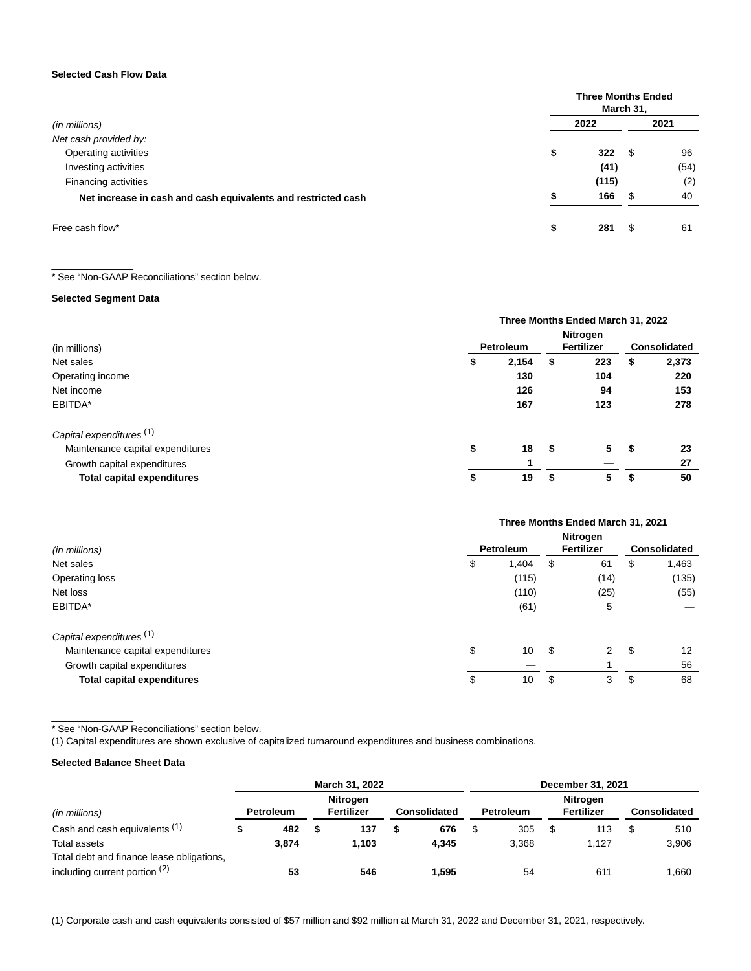### **Selected Cash Flow Data**

|                                                               |      | <b>Three Months Ended</b><br>March 31, |      |  |  |  |  |
|---------------------------------------------------------------|------|----------------------------------------|------|--|--|--|--|
| (in millions)                                                 | 2022 |                                        | 2021 |  |  |  |  |
| Net cash provided by:                                         |      |                                        |      |  |  |  |  |
| Operating activities                                          | \$   | 322<br>S                               | 96   |  |  |  |  |
| Investing activities                                          |      | (41)                                   | (54) |  |  |  |  |
| Financing activities                                          |      | (115)                                  | (2)  |  |  |  |  |
| Net increase in cash and cash equivalents and restricted cash |      | 166                                    | 40   |  |  |  |  |
| Free cash flow*                                               |      | 281                                    | 61   |  |  |  |  |

\* See "Non-GAAP Reconciliations" section below.

## **Selected Segment Data**

\_\_\_\_\_\_\_\_\_\_\_\_\_\_\_

|                                   | Three Months Ended March 31, 2022 |           |    |            |    |                     |
|-----------------------------------|-----------------------------------|-----------|----|------------|----|---------------------|
|                                   |                                   |           |    | Nitrogen   |    |                     |
| (in millions)                     |                                   | Petroleum |    | Fertilizer |    | <b>Consolidated</b> |
| Net sales                         | \$                                | 2,154     | \$ | 223        | \$ | 2,373               |
| Operating income                  |                                   | 130       |    | 104        |    | 220                 |
| Net income                        |                                   | 126       |    | 94         |    | 153                 |
| EBITDA*                           |                                   | 167       |    | 123        |    | 278                 |
| Capital expenditures (1)          |                                   |           |    |            |    |                     |
| Maintenance capital expenditures  | \$                                | 18        | \$ | 5          | \$ | 23                  |
| Growth capital expenditures       |                                   |           |    |            |    | 27                  |
| <b>Total capital expenditures</b> | \$                                | 19        | \$ | 5          | S  | 50                  |

|                                     | Three Months Ended March 31, 2021 |                  |      |                 |    |                     |
|-------------------------------------|-----------------------------------|------------------|------|-----------------|----|---------------------|
|                                     |                                   |                  |      | <b>Nitrogen</b> |    |                     |
| (in millions)                       |                                   | <b>Petroleum</b> |      | Fertilizer      |    | <b>Consolidated</b> |
| Net sales                           | \$                                | 1,404            | \$   | 61              | S  | 1,463               |
| Operating loss                      |                                   | (115)            |      | (14)            |    | (135)               |
| Net loss                            |                                   | (110)            |      | (25)            |    | (55)                |
| EBITDA*                             |                                   | (61)             |      | 5               |    |                     |
| Capital expenditures <sup>(1)</sup> |                                   |                  |      |                 |    |                     |
| Maintenance capital expenditures    | \$                                | 10               | - \$ | 2               | \$ | 12                  |
| Growth capital expenditures         |                                   |                  |      |                 |    | 56                  |
| <b>Total capital expenditures</b>   | \$                                | 10               | \$   | 3               | \$ | 68                  |

\* See "Non-GAAP Reconciliations" section below.

(1) Capital expenditures are shown exclusive of capitalized turnaround expenditures and business combinations.

## **Selected Balance Sheet Data**

 $\overline{\phantom{a}}$  , where  $\overline{\phantom{a}}$ 

\_\_\_\_\_\_\_\_\_\_\_\_\_\_\_

|                                                                              | March 31, 2022 |                  |  | December 31, 2021                    |   |              |  |                  |     |                               |  |                     |
|------------------------------------------------------------------------------|----------------|------------------|--|--------------------------------------|---|--------------|--|------------------|-----|-------------------------------|--|---------------------|
| (in millions)                                                                |                | <b>Petroleum</b> |  | <b>Nitrogen</b><br><b>Fertilizer</b> |   | Consolidated |  | <b>Petroleum</b> |     | <b>Nitrogen</b><br>Fertilizer |  | <b>Consolidated</b> |
| Cash and cash equivalents (1)                                                |                | 482              |  | 137                                  | ъ | 676          |  | 305              | \$. | 113                           |  | 510                 |
| Total assets                                                                 |                | 3.874            |  | 1.103                                |   | 4.345        |  | 3.368            |     | 1.127                         |  | 3,906               |
| Total debt and finance lease obligations,<br>including current portion $(2)$ |                | 53               |  | 546                                  |   | 1.595        |  | 54               |     | 61'                           |  | 1.660               |

(1) Corporate cash and cash equivalents consisted of \$57 million and \$92 million at March 31, 2022 and December 31, 2021, respectively.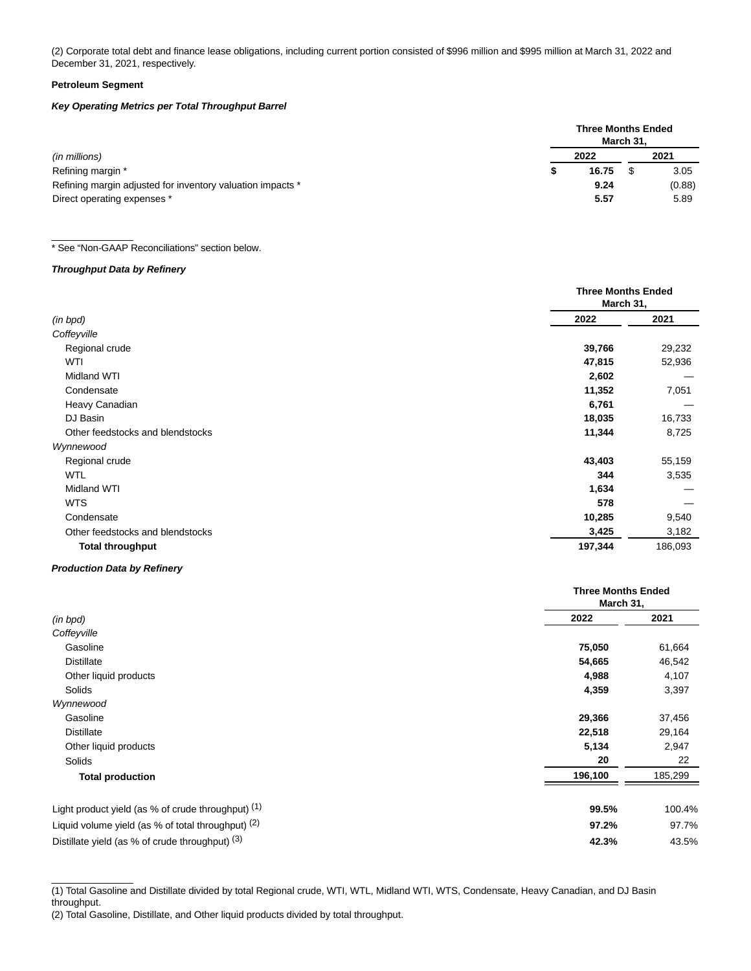(2) Corporate total debt and finance lease obligations, including current portion consisted of \$996 million and \$995 million at March 31, 2022 and December 31, 2021, respectively.

### **Petroleum Segment**

## **Key Operating Metrics per Total Throughput Barrel**

|                                                            | <b>Three Months Ended</b><br>March 31, |       |  |        |  |  |  |
|------------------------------------------------------------|----------------------------------------|-------|--|--------|--|--|--|
| (in millions)                                              |                                        | 2022  |  | 2021   |  |  |  |
| Refining margin *                                          |                                        | 16.75 |  | 3.05   |  |  |  |
| Refining margin adjusted for inventory valuation impacts * |                                        | 9.24  |  | (0.88) |  |  |  |
| Direct operating expenses *                                |                                        | 5.57  |  | 5.89   |  |  |  |

### \* See "Non-GAAP Reconciliations" section below.

## **Throughput Data by Refinery**

\_\_\_\_\_\_\_\_\_\_\_\_\_\_\_

|                                  | <b>Three Months Ended</b><br>March 31, |         |
|----------------------------------|----------------------------------------|---------|
| (in bpd)                         | 2022                                   | 2021    |
| Coffeyville                      |                                        |         |
| Regional crude                   | 39,766                                 | 29,232  |
| WTI                              | 47,815                                 | 52,936  |
| Midland WTI                      | 2,602                                  |         |
| Condensate                       | 11,352                                 | 7,051   |
| Heavy Canadian                   | 6,761                                  |         |
| DJ Basin                         | 18,035                                 | 16,733  |
| Other feedstocks and blendstocks | 11,344                                 | 8,725   |
| Wynnewood                        |                                        |         |
| Regional crude                   | 43,403                                 | 55,159  |
| <b>WTL</b>                       | 344                                    | 3,535   |
| Midland WTI                      | 1,634                                  |         |
| <b>WTS</b>                       | 578                                    |         |
| Condensate                       | 10,285                                 | 9,540   |
| Other feedstocks and blendstocks | 3,425                                  | 3,182   |
| <b>Total throughput</b>          | 197,344                                | 186,093 |

### **Production Data by Refinery**

|                                                        | <b>Three Months Ended</b><br>March 31, |         |
|--------------------------------------------------------|----------------------------------------|---------|
| (in bpd)                                               | 2022                                   | 2021    |
| Coffeyville                                            |                                        |         |
| Gasoline                                               | 75,050                                 | 61,664  |
| <b>Distillate</b>                                      | 54,665                                 | 46,542  |
| Other liquid products                                  | 4,988                                  | 4,107   |
| <b>Solids</b>                                          | 4,359                                  | 3,397   |
| Wynnewood                                              |                                        |         |
| Gasoline                                               | 29,366                                 | 37,456  |
| <b>Distillate</b>                                      | 22,518                                 | 29,164  |
| Other liquid products                                  | 5,134                                  | 2,947   |
| Solids                                                 | 20                                     | 22      |
| <b>Total production</b>                                | 196,100                                | 185,299 |
| Light product yield (as $%$ of crude throughput) $(1)$ | 99.5%                                  | 100.4%  |
| Liquid volume yield (as $%$ of total throughput) $(2)$ | 97.2%                                  | 97.7%   |
| Distillate yield (as % of crude throughput) (3)        | 42.3%                                  | 43.5%   |

 $\overline{\phantom{a}}$  , where  $\overline{\phantom{a}}$ (1) Total Gasoline and Distillate divided by total Regional crude, WTI, WTL, Midland WTI, WTS, Condensate, Heavy Canadian, and DJ Basin throughput.

<sup>(2)</sup> Total Gasoline, Distillate, and Other liquid products divided by total throughput.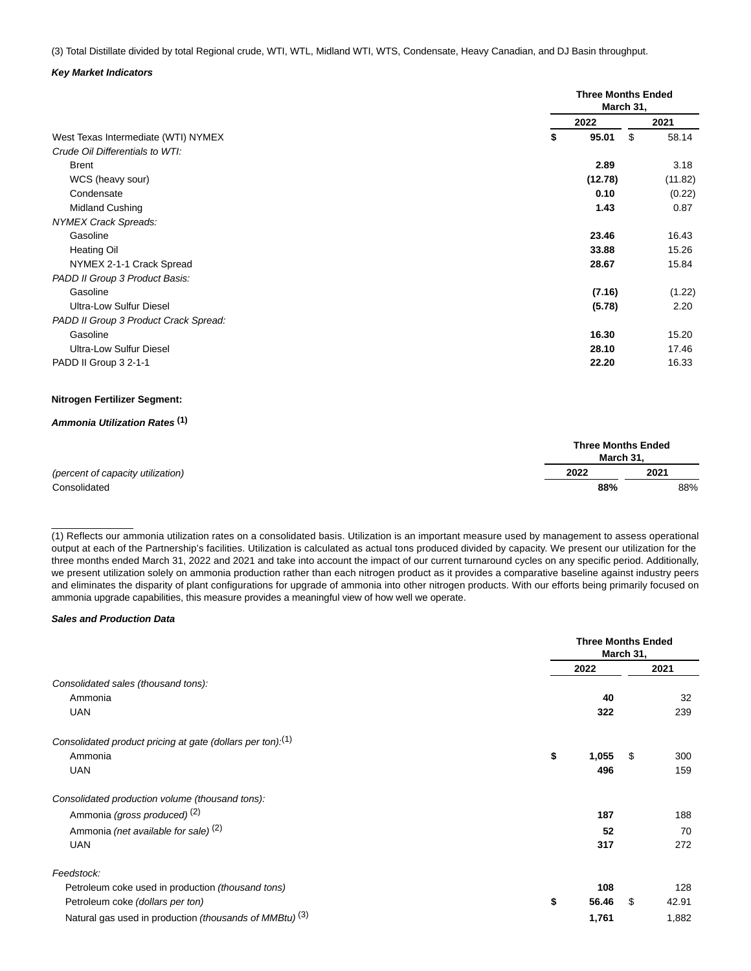(3) Total Distillate divided by total Regional crude, WTI, WTL, Midland WTI, WTS, Condensate, Heavy Canadian, and DJ Basin throughput.

### **Key Market Indicators**

|                                       |             | <b>Three Months Ended</b><br>March 31, |
|---------------------------------------|-------------|----------------------------------------|
|                                       | 2022        | 2021                                   |
| West Texas Intermediate (WTI) NYMEX   | 95.01<br>\$ | \$<br>58.14                            |
| Crude Oil Differentials to WTI:       |             |                                        |
| <b>Brent</b>                          | 2.89        | 3.18                                   |
| WCS (heavy sour)                      | (12.78)     | (11.82)                                |
| Condensate                            | 0.10        | (0.22)                                 |
| Midland Cushing                       | 1.43        | 0.87                                   |
| <b>NYMEX Crack Spreads:</b>           |             |                                        |
| Gasoline                              | 23.46       | 16.43                                  |
| <b>Heating Oil</b>                    | 33.88       | 15.26                                  |
| NYMEX 2-1-1 Crack Spread              | 28.67       | 15.84                                  |
| PADD II Group 3 Product Basis:        |             |                                        |
| Gasoline                              | (7.16)      | (1.22)                                 |
| Ultra-Low Sulfur Diesel               | (5.78)      | 2.20                                   |
| PADD II Group 3 Product Crack Spread: |             |                                        |
| Gasoline                              | 16.30       | 15.20                                  |
| <b>Ultra-Low Sulfur Diesel</b>        | 28.10       | 17.46                                  |
| PADD II Group 3 2-1-1                 | 22.20       | 16.33                                  |
|                                       |             |                                        |

### **Nitrogen Fertilizer Segment:**

## **Ammonia Utilization Rates (1)**

|                                   | <b>Three Months Ended</b><br>March 31. |      |  |  |  |
|-----------------------------------|----------------------------------------|------|--|--|--|
| (percent of capacity utilization) | 2022                                   | 2021 |  |  |  |
| Consolidated                      | 88%                                    | 88%  |  |  |  |

(1) Reflects our ammonia utilization rates on a consolidated basis. Utilization is an important measure used by management to assess operational output at each of the Partnership's facilities. Utilization is calculated as actual tons produced divided by capacity. We present our utilization for the three months ended March 31, 2022 and 2021 and take into account the impact of our current turnaround cycles on any specific period. Additionally, we present utilization solely on ammonia production rather than each nitrogen product as it provides a comparative baseline against industry peers and eliminates the disparity of plant configurations for upgrade of ammonia into other nitrogen products. With our efforts being primarily focused on ammonia upgrade capabilities, this measure provides a meaningful view of how well we operate.

#### **Sales and Production Data**

\_\_\_\_\_\_\_\_\_\_\_\_\_\_\_

|                                                                        |             | <b>Three Months Ended</b><br>March 31, |       |  |
|------------------------------------------------------------------------|-------------|----------------------------------------|-------|--|
|                                                                        | 2022        |                                        | 2021  |  |
| Consolidated sales (thousand tons):                                    |             |                                        |       |  |
| Ammonia                                                                | 40          |                                        | 32    |  |
| <b>UAN</b>                                                             | 322         |                                        | 239   |  |
| Consolidated product pricing at gate (dollars per ton). <sup>(1)</sup> |             |                                        |       |  |
| Ammonia                                                                | \$<br>1,055 | \$                                     | 300   |  |
| <b>UAN</b>                                                             | 496         |                                        | 159   |  |
| Consolidated production volume (thousand tons):                        |             |                                        |       |  |
| Ammonia (gross produced) <sup>(2)</sup>                                | 187         |                                        | 188   |  |
| Ammonia (net available for sale) <sup>(2)</sup>                        | 52          |                                        | 70    |  |
| <b>UAN</b>                                                             | 317         |                                        | 272   |  |
| Feedstock:                                                             |             |                                        |       |  |
| Petroleum coke used in production (thousand tons)                      | 108         |                                        | 128   |  |
| Petroleum coke (dollars per ton)                                       | \$<br>56.46 | \$                                     | 42.91 |  |
| Natural gas used in production (thousands of MMBtu) <sup>(3)</sup>     | 1,761       |                                        | 1,882 |  |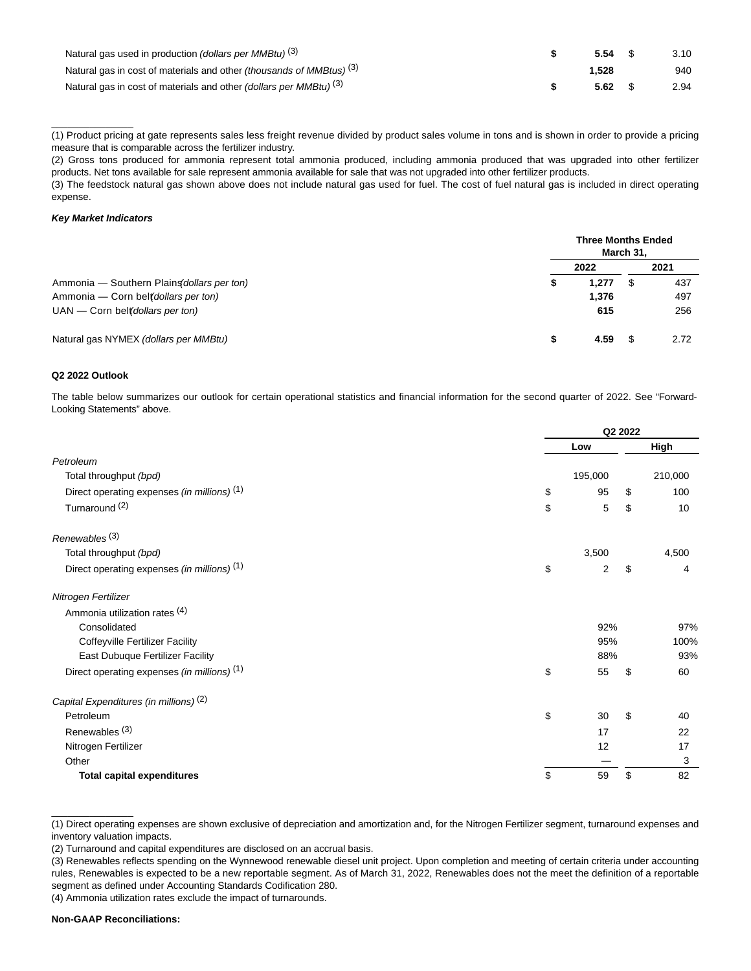| Natural gas used in production (dollars per MMBtu) <sup>(3)</sup>                      | $5.54$ \$       | 3.10 |
|----------------------------------------------------------------------------------------|-----------------|------|
| Natural gas in cost of materials and other <i>(thousands of MMBtus)</i> <sup>(3)</sup> | 1.528           | 940  |
| Natural gas in cost of materials and other (dollars per MMBtu) <sup>(3)</sup>          | $5.62 \quad$ \$ | 2.94 |

(1) Product pricing at gate represents sales less freight revenue divided by product sales volume in tons and is shown in order to provide a pricing measure that is comparable across the fertilizer industry.

(2) Gross tons produced for ammonia represent total ammonia produced, including ammonia produced that was upgraded into other fertilizer products. Net tons available for sale represent ammonia available for sale that was not upgraded into other fertilizer products.

(3) The feedstock natural gas shown above does not include natural gas used for fuel. The cost of fuel natural gas is included in direct operating expense.

### **Key Market Indicators**

\_\_\_\_\_\_\_\_\_\_\_\_\_\_\_

|                                            |    | <b>Three Months Ended</b> | March 31, |      |
|--------------------------------------------|----|---------------------------|-----------|------|
|                                            |    | 2022                      |           | 2021 |
| Ammonia – Southern Plains dollars per ton) | æ  | 1.277                     | -5        | 437  |
| Ammonia – Corn belt dollars per ton)       |    | 1.376                     |           | 497  |
| $UAN$ – Corn belt dollars per ton)         |    | 615                       |           | 256  |
| Natural gas NYMEX (dollars per MMBtu)      | \$ | 4.59                      |           | 2.72 |

### **Q2 2022 Outlook**

The table below summarizes our outlook for certain operational statistics and financial information for the second quarter of 2022. See "Forward-Looking Statements" above.

|                                                        | Q2 2022  |    |         |  |
|--------------------------------------------------------|----------|----|---------|--|
|                                                        | Low      |    | High    |  |
| Petroleum                                              |          |    |         |  |
| Total throughput (bpd)                                 | 195,000  |    | 210,000 |  |
| Direct operating expenses (in millions) (1)            | \$<br>95 | \$ | 100     |  |
| Turnaround <sup>(2)</sup>                              | \$<br>5  | \$ | 10      |  |
| Renewables <sup>(3)</sup>                              |          |    |         |  |
| Total throughput (bpd)                                 | 3,500    |    | 4,500   |  |
| Direct operating expenses (in millions) (1)            | \$<br>2  | \$ | 4       |  |
| Nitrogen Fertilizer                                    |          |    |         |  |
| Ammonia utilization rates (4)                          |          |    |         |  |
| Consolidated                                           | 92%      |    | 97%     |  |
| <b>Coffeyville Fertilizer Facility</b>                 | 95%      |    | 100%    |  |
| East Dubuque Fertilizer Facility                       | 88%      |    | 93%     |  |
| Direct operating expenses (in millions) <sup>(1)</sup> | \$<br>55 | \$ | 60      |  |
| Capital Expenditures (in millions) <sup>(2)</sup>      |          |    |         |  |
| Petroleum                                              | \$<br>30 | \$ | 40      |  |
| Renewables <sup>(3)</sup>                              | 17       |    | 22      |  |
| Nitrogen Fertilizer                                    | 12       |    | 17      |  |
| Other                                                  |          |    | 3       |  |
| <b>Total capital expenditures</b>                      | \$<br>59 | \$ | 82      |  |

(1) Direct operating expenses are shown exclusive of depreciation and amortization and, for the Nitrogen Fertilizer segment, turnaround expenses and inventory valuation impacts.

(2) Turnaround and capital expenditures are disclosed on an accrual basis.

(3) Renewables reflects spending on the Wynnewood renewable diesel unit project. Upon completion and meeting of certain criteria under accounting rules, Renewables is expected to be a new reportable segment. As of March 31, 2022, Renewables does not the meet the definition of a reportable segment as defined under Accounting Standards Codification 280.

(4) Ammonia utilization rates exclude the impact of turnarounds.

\_\_\_\_\_\_\_\_\_\_\_\_\_\_\_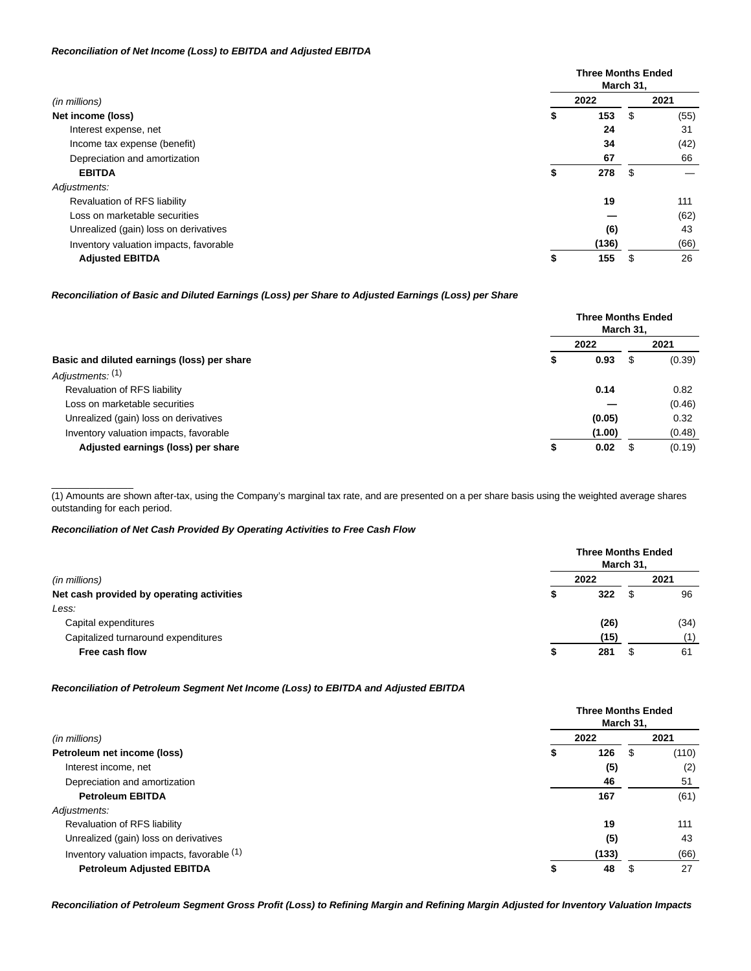### **Reconciliation of Net Income (Loss) to EBITDA and Adjusted EBITDA**

|                                        |           | <b>Three Months Ended</b><br>March 31, |      |  |  |  |
|----------------------------------------|-----------|----------------------------------------|------|--|--|--|
| (in millions)                          | 2022      |                                        | 2021 |  |  |  |
| Net income (loss)                      | 153<br>\$ | \$                                     | (55) |  |  |  |
| Interest expense, net                  | 24        |                                        | 31   |  |  |  |
| Income tax expense (benefit)           | 34        |                                        | (42) |  |  |  |
| Depreciation and amortization          | 67        |                                        | 66   |  |  |  |
| <b>EBITDA</b>                          | 278<br>ъ  | \$                                     |      |  |  |  |
| Adjustments:                           |           |                                        |      |  |  |  |
| Revaluation of RFS liability           | 19        |                                        | 111  |  |  |  |
| Loss on marketable securities          |           |                                        | (62) |  |  |  |
| Unrealized (gain) loss on derivatives  | (6)       |                                        | 43   |  |  |  |
| Inventory valuation impacts, favorable | (136)     |                                        | (66) |  |  |  |
| <b>Adjusted EBITDA</b>                 | 155<br>\$ |                                        | 26   |  |  |  |

### **Reconciliation of Basic and Diluted Earnings (Loss) per Share to Adjusted Earnings (Loss) per Share**

|                                             |    | <b>Three Months Ended</b><br>March 31, |  |        |  |
|---------------------------------------------|----|----------------------------------------|--|--------|--|
|                                             |    | 2022                                   |  | 2021   |  |
| Basic and diluted earnings (loss) per share | \$ | 0.93                                   |  | (0.39) |  |
| Adjustments: (1)                            |    |                                        |  |        |  |
| Revaluation of RFS liability                |    | 0.14                                   |  | 0.82   |  |
| Loss on marketable securities               |    |                                        |  | (0.46) |  |
| Unrealized (gain) loss on derivatives       |    | (0.05)                                 |  | 0.32   |  |
| Inventory valuation impacts, favorable      |    | (1.00)                                 |  | (0.48) |  |
| Adjusted earnings (loss) per share          | S  | 0.02                                   |  | (0.19) |  |

(1) Amounts are shown after-tax, using the Company's marginal tax rate, and are presented on a per share basis using the weighted average shares outstanding for each period.

### **Reconciliation of Net Cash Provided By Operating Activities to Free Cash Flow**

\_\_\_\_\_\_\_\_\_\_\_\_\_\_\_

| (in millions)                             |      | <b>Three Months Ended</b><br>March 31, |      |  |  |
|-------------------------------------------|------|----------------------------------------|------|--|--|
|                                           | 2022 |                                        | 2021 |  |  |
| Net cash provided by operating activities | 5    | 322<br>S                               | 96   |  |  |
| Less:                                     |      |                                        |      |  |  |
| Capital expenditures                      |      | (26)                                   | (34) |  |  |
| Capitalized turnaround expenditures       |      | (15)                                   | (1)  |  |  |
| Free cash flow                            | 5    | 281<br>ა                               | 61   |  |  |

## **Reconciliation of Petroleum Segment Net Income (Loss) to EBITDA and Adjusted EBITDA**

|                                            |          | <b>Three Months Ended</b><br>March 31, |  |  |  |
|--------------------------------------------|----------|----------------------------------------|--|--|--|
| (in millions)                              | 2022     | 2021                                   |  |  |  |
| Petroleum net income (loss)                | 126<br>Þ | (110)<br>S                             |  |  |  |
| Interest income, net                       | (5)      | (2)                                    |  |  |  |
| Depreciation and amortization              | 46       | 51                                     |  |  |  |
| <b>Petroleum EBITDA</b>                    | 167      | (61)                                   |  |  |  |
| Adjustments:                               |          |                                        |  |  |  |
| Revaluation of RFS liability               | 19       | 111                                    |  |  |  |
| Unrealized (gain) loss on derivatives      | (5)      | 43                                     |  |  |  |
| Inventory valuation impacts, favorable (1) | (133)    | (66)                                   |  |  |  |
| <b>Petroleum Adjusted EBITDA</b>           | 48       | 27<br>\$.                              |  |  |  |

**Reconciliation of Petroleum Segment Gross Profit (Loss) to Refining Margin and Refining Margin Adjusted for Inventory Valuation Impacts**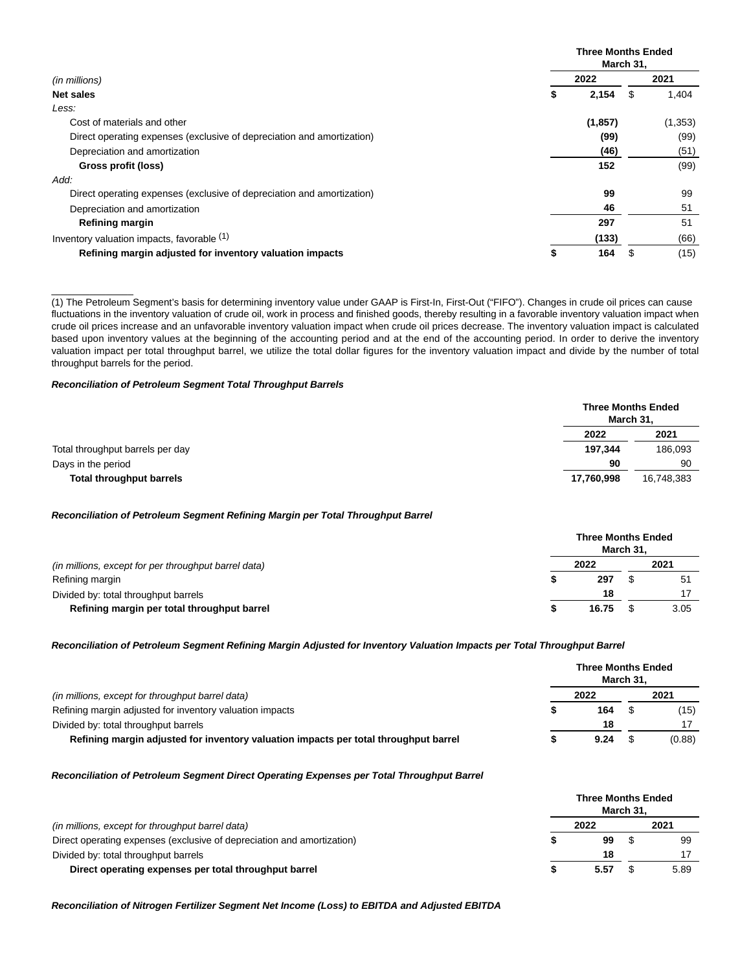|                                                                        |    | <b>Three Months Ended</b><br>March 31, |      |          |  |  |
|------------------------------------------------------------------------|----|----------------------------------------|------|----------|--|--|
| (in millions)                                                          |    | 2022                                   | 2021 |          |  |  |
| Net sales                                                              | \$ | 2,154                                  | S    | 1,404    |  |  |
| Less:                                                                  |    |                                        |      |          |  |  |
| Cost of materials and other                                            |    | (1, 857)                               |      | (1, 353) |  |  |
| Direct operating expenses (exclusive of depreciation and amortization) |    | (99)                                   |      | (99)     |  |  |
| Depreciation and amortization                                          |    | (46)                                   |      | (51)     |  |  |
| Gross profit (loss)                                                    |    | 152                                    |      | (99)     |  |  |
| Add:                                                                   |    |                                        |      |          |  |  |
| Direct operating expenses (exclusive of depreciation and amortization) |    | 99                                     |      | 99       |  |  |
| Depreciation and amortization                                          |    | 46                                     |      | 51       |  |  |
| Refining margin                                                        |    | 297                                    |      | 51       |  |  |
| Inventory valuation impacts, favorable (1)                             |    | (133)                                  |      | (66)     |  |  |
| Refining margin adjusted for inventory valuation impacts               | \$ | 164                                    | S    | (15)     |  |  |

(1) The Petroleum Segment's basis for determining inventory value under GAAP is First-In, First-Out ("FIFO"). Changes in crude oil prices can cause fluctuations in the inventory valuation of crude oil, work in process and finished goods, thereby resulting in a favorable inventory valuation impact when crude oil prices increase and an unfavorable inventory valuation impact when crude oil prices decrease. The inventory valuation impact is calculated based upon inventory values at the beginning of the accounting period and at the end of the accounting period. In order to derive the inventory valuation impact per total throughput barrel, we utilize the total dollar figures for the inventory valuation impact and divide by the number of total throughput barrels for the period.

### **Reconciliation of Petroleum Segment Total Throughput Barrels**

\_\_\_\_\_\_\_\_\_\_\_\_\_\_\_

|                                  | March 31,  | <b>Three Months Ended</b> |
|----------------------------------|------------|---------------------------|
|                                  | 2022       | 2021                      |
| Total throughput barrels per day | 197.344    | 186,093                   |
| Days in the period               | 90         | 90                        |
| <b>Total throughput barrels</b>  | 17,760,998 | 16.748.383                |

#### **Reconciliation of Petroleum Segment Refining Margin per Total Throughput Barrel**

|                                                      | <b>Three Months Ended</b><br>March 31. |       |  |      |  |
|------------------------------------------------------|----------------------------------------|-------|--|------|--|
| (in millions, except for per throughput barrel data) |                                        | 2022  |  | 2021 |  |
| Refining margin                                      |                                        | 297   |  | 51   |  |
| Divided by: total throughput barrels                 |                                        | 18    |  |      |  |
| Refining margin per total throughput barrel          |                                        | 16.75 |  | 3.05 |  |

#### **Reconciliation of Petroleum Segment Refining Margin Adjusted for Inventory Valuation Impacts per Total Throughput Barrel**

| (in millions, except for throughput barrel data)                                     |  | <b>Three Months Ended</b> | March 31. |        |
|--------------------------------------------------------------------------------------|--|---------------------------|-----------|--------|
|                                                                                      |  | 2022                      | 2021      |        |
| Refining margin adjusted for inventory valuation impacts                             |  | 164                       |           | (15)   |
| Divided by: total throughput barrels                                                 |  | 18                        |           |        |
| Refining margin adjusted for inventory valuation impacts per total throughput barrel |  | 9.24                      |           | (0.88) |

#### **Reconciliation of Petroleum Segment Direct Operating Expenses per Total Throughput Barrel**

|                                                                        | <b>Three Months Ended</b> | March 31. |      |
|------------------------------------------------------------------------|---------------------------|-----------|------|
| (in millions, except for throughput barrel data)                       | 2022                      |           | 2021 |
| Direct operating expenses (exclusive of depreciation and amortization) | 99                        |           | 99   |
| Divided by: total throughput barrels                                   | 18                        |           |      |
| Direct operating expenses per total throughput barrel                  | 5.57                      |           | 5.89 |

**Reconciliation of Nitrogen Fertilizer Segment Net Income (Loss) to EBITDA and Adjusted EBITDA**